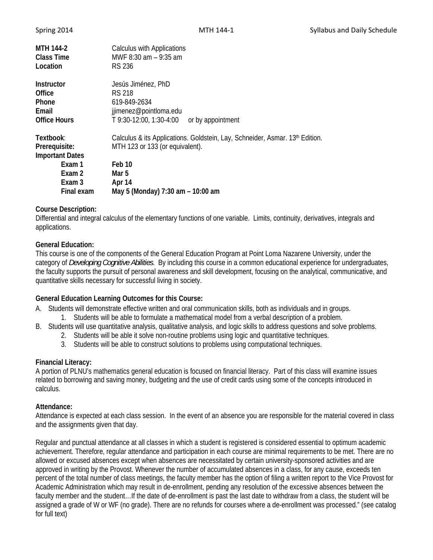| <b>MTH 144-2</b><br>Class Time<br>Location | <b>Calculus with Applications</b><br>MWF 8:30 am - 9:35 am<br>RS 236         |
|--------------------------------------------|------------------------------------------------------------------------------|
| Instructor                                 | Jesús Jiménez, PhD                                                           |
| Office                                     | <b>RS 218</b>                                                                |
| Phone                                      | 619-849-2634                                                                 |
| Email                                      | jjimenez@pointloma.edu                                                       |
| <b>Office Hours</b>                        | T 9:30-12:00, 1:30-4:00<br>or by appointment                                 |
| Textbook:                                  | Calculus & its Applications. Goldstein, Lay, Schneider, Asmar. 13th Edition. |
| Prerequisite:                              | MTH 123 or 133 (or equivalent).                                              |
| <b>Important Dates</b>                     |                                                                              |
| Exam 1                                     | Feb 10                                                                       |
| Exam 2                                     | Mar 5                                                                        |
| Exam 3                                     | Apr 14                                                                       |
| Final exam                                 | May 5 (Monday) 7:30 am - 10:00 am                                            |

## **Course Description:**

Differential and integral calculus of the elementary functions of one variable. Limits, continuity, derivatives, integrals and applications.

## **General Education:**

This course is one of the components of the General Education Program at Point Loma Nazarene University, under the category of *Developing Cognitive Abilities*. By including this course in a common educational experience for undergraduates, the faculty supports the pursuit of personal awareness and skill development, focusing on the analytical, communicative, and quantitative skills necessary for successful living in society.

### **General Education Learning Outcomes for this Course:**

- A. Students will demonstrate effective written and oral communication skills, both as individuals and in groups.
	- 1. Students will be able to formulate a mathematical model from a verbal description of a problem.
- B. Students will use quantitative analysis, qualitative analysis, and logic skills to address questions and solve problems.
	- 2. Students will be able it solve non-routine problems using logic and quantitative techniques.
	- 3. Students will be able to construct solutions to problems using computational techniques.

### **Financial Literacy:**

A portion of PLNU's mathematics general education is focused on financial literacy. Part of this class will examine issues related to borrowing and saving money, budgeting and the use of credit cards using some of the concepts introduced in calculus.

### **Attendance:**

Attendance is expected at each class session. In the event of an absence you are responsible for the material covered in class and the assignments given that day.

Regular and punctual attendance at all classes in which a student is registered is considered essential to optimum academic achievement. Therefore, regular attendance and participation in each course are minimal requirements to be met. There are no allowed or excused absences except when absences are necessitated by certain university-sponsored activities and are approved in writing by the Provost. Whenever the number of accumulated absences in a class, for any cause, exceeds ten percent of the total number of class meetings, the faculty member has the option of filing a written report to the Vice Provost for Academic Administration which may result in de-enrollment, pending any resolution of the excessive absences between the faculty member and the student…If the date of de-enrollment is past the last date to withdraw from a class, the student will be assigned a grade of W or WF (no grade). There are no refunds for courses where a de-enrollment was processed." (see catalog for full text)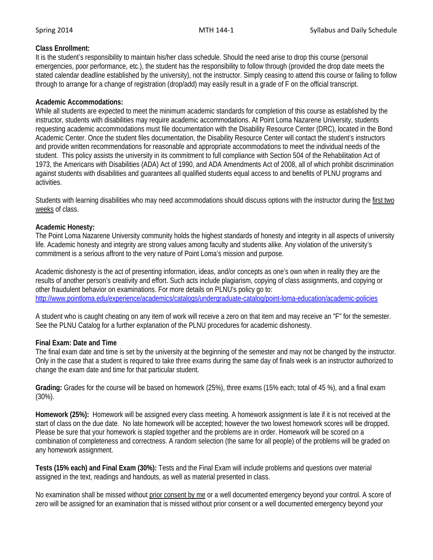# **Class Enrollment:**

It is the student's responsibility to maintain his/her class schedule. Should the need arise to drop this course (personal emergencies, poor performance, etc.), the student has the responsibility to follow through (provided the drop date meets the stated calendar deadline established by the university), not the instructor. Simply ceasing to attend this course or failing to follow through to arrange for a change of registration (drop/add) may easily result in a grade of F on the official transcript.

## **Academic Accommodations:**

While all students are expected to meet the minimum academic standards for completion of this course as established by the instructor, students with disabilities may require academic accommodations. At Point Loma Nazarene University, students requesting academic accommodations must file documentation with the Disability Resource Center (DRC), located in the Bond Academic Center. Once the student files documentation, the Disability Resource Center will contact the student's instructors and provide written recommendations for reasonable and appropriate accommodations to meet the individual needs of the student. This policy assists the university in its commitment to full compliance with Section 504 of the Rehabilitation Act of 1973, the Americans with Disabilities (ADA) Act of 1990, and ADA Amendments Act of 2008, all of which prohibit discrimination against students with disabilities and guarantees all qualified students equal access to and benefits of PLNU programs and activities.

Students with learning disabilities who may need accommodations should discuss options with the instructor during the first two weeks of class.

## **Academic Honesty:**

The Point Loma Nazarene University community holds the highest standards of honesty and integrity in all aspects of university life. Academic honesty and integrity are strong values among faculty and students alike. Any violation of the university's commitment is a serious affront to the very nature of Point Loma's mission and purpose.

Academic dishonesty is the act of presenting information, ideas, and/or concepts as one's own when in reality they are the results of another person's creativity and effort. Such acts include plagiarism, copying of class assignments, and copying or other fraudulent behavior on examinations. For more details on PLNU's policy go to: http://www.pointloma.edu/experience/academics/catalogs/undergraduate-catalog/point-loma-education/academic-policies

A student who is caught cheating on any item of work will receive a zero on that item and may receive an "F" for the semester. See the PLNU Catalog for a further explanation of the PLNU procedures for academic dishonesty.

# **Final Exam: Date and Time**

The final exam date and time is set by the university at the beginning of the semester and may not be changed by the instructor. Only in the case that a student is required to take three exams during the same day of finals week is an instructor authorized to change the exam date and time for that particular student.

**Grading:** Grades for the course will be based on homework (25%), three exams (15% each; total of 45 %), and a final exam (30%).

**Homework (25%):** Homework will be assigned every class meeting. A homework assignment is late if it is not received at the start of class on the due date. No late homework will be accepted; however the two lowest homework scores will be dropped. Please be sure that your homework is stapled together and the problems are in order. Homework will be scored on a combination of completeness and correctness. A random selection (the same for all people) of the problems will be graded on any homework assignment.

**Tests (15% each) and Final Exam (30%):** Tests and the Final Exam will include problems and questions over material assigned in the text, readings and handouts, as well as material presented in class.

No examination shall be missed without prior consent by me or a well documented emergency beyond your control. A score of zero will be assigned for an examination that is missed without prior consent or a well documented emergency beyond your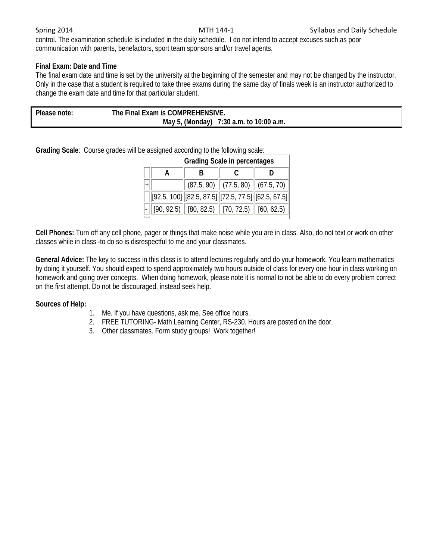control. The examination schedule is included in the daily schedule. I do not intend to accept excuses such as poor communication with parents, benefactors, sport team sponsors and/or travel agents.

# **Final Exam: Date and Time**

The final exam date and time is set by the university at the beginning of the semester and may not be changed by the instructor. Only in the case that a student is required to take three exams during the same day of finals week is an instructor authorized to change the exam date and time for that particular student.

| Please note: | The Final Exam is COMPREHENSIVE. |                                         |
|--------------|----------------------------------|-----------------------------------------|
|              |                                  | May 5, (Monday) 7:30 a.m. to 10:00 a.m. |

**Grading Scale**: Course grades will be assigned according to the following scale:

| <b>Grading Scale in percentages</b> |                                                                                 |  |  |  |  |  |
|-------------------------------------|---------------------------------------------------------------------------------|--|--|--|--|--|
|                                     |                                                                                 |  |  |  |  |  |
|                                     | $\vert$ (87.5, 90) $\vert\vert$ (77.5, 80) $\vert\vert$ (67.5, 70) $\vert\vert$ |  |  |  |  |  |
|                                     | $[92.5, 100]$ $[82.5, 87.5]$ $[72.5, 77.5]$ $[62.5, 67.5]$                      |  |  |  |  |  |
|                                     | $[90, 92.5)$ $[80, 82.5)$ $[70, 72.5)$ $[60, 62.5)$ $[$                         |  |  |  |  |  |

**Cell Phones:** Turn off any cell phone, pager or things that make noise while you are in class. Also, do not text or work on other classes while in class -to do so is disrespectful to me and your classmates.

**General Advice:** The key to success in this class is to attend lectures regularly and do your homework. You learn mathematics by doing it yourself. You should expect to spend approximately two hours outside of class for every one hour in class working on homework and going over concepts. When doing homework, please note it is normal to not be able to do every problem correct on the first attempt. Do not be discouraged, instead seek help.

### **Sources of Help:**

- 1. Me. If you have questions, ask me. See office hours.
- 2. FREE TUTORING- Math Learning Center, RS-230. Hours are posted on the door.
- 3. Other classmates. Form study groups! Work together!